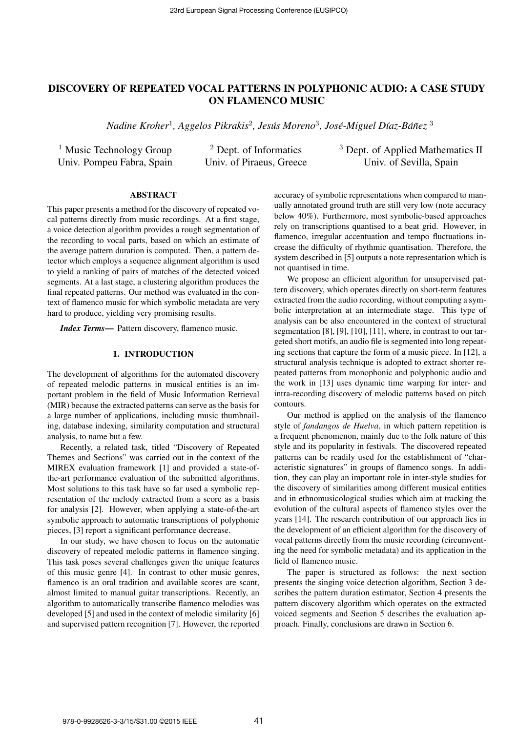# DISCOVERY OF REPEATED VOCAL PATTERNS IN POLYPHONIC AUDIO: A CASE STUDY ON FLAMENCO MUSIC

 $N$ adine Kroher $^1$ , Aggelos Pikrakis $^2$ , Jesús Moreno $^3$ , José-Miguel Díaz-Báñez  $^3$ 

| <sup>1</sup> Music Technology Group | <sup>2</sup> Dept. of Informatics | <sup>3</sup> Dept. of Applied Mathematics II |
|-------------------------------------|-----------------------------------|----------------------------------------------|
| Univ. Pompeu Fabra, Spain           | Univ. of Piraeus, Greece          | Univ. of Sevilla, Spain                      |

# ABSTRACT

This paper presents a method for the discovery of repeated vocal patterns directly from music recordings. At a first stage, a voice detection algorithm provides a rough segmentation of the recording to vocal parts, based on which an estimate of the average pattern duration is computed. Then, a pattern detector which employs a sequence alignment algorithm is used to yield a ranking of pairs of matches of the detected voiced segments. At a last stage, a clustering algorithm produces the final repeated patterns. Our method was evaluated in the context of flamenco music for which symbolic metadata are very hard to produce, yielding very promising results.

*Index Terms*— Pattern discovery, flamenco music.

#### 1. INTRODUCTION

The development of algorithms for the automated discovery of repeated melodic patterns in musical entities is an important problem in the field of Music Information Retrieval (MIR) because the extracted patterns can serve as the basis for a large number of applications, including music thumbnailing, database indexing, similarity computation and structural analysis, to name but a few.

Recently, a related task, titled "Discovery of Repeated Themes and Sections" was carried out in the context of the MIREX evaluation framework [1] and provided a state-ofthe-art performance evaluation of the submitted algorithms. Most solutions to this task have so far used a symbolic representation of the melody extracted from a score as a basis for analysis [2]. However, when applying a state-of-the-art symbolic approach to automatic transcriptions of polyphonic pieces, [3] report a significant performance decrease.

In our study, we have chosen to focus on the automatic discovery of repeated melodic patterns in flamenco singing. This task poses several challenges given the unique features of this music genre [4]. In contrast to other music genres, flamenco is an oral tradition and available scores are scant, almost limited to manual guitar transcriptions. Recently, an algorithm to automatically transcribe flamenco melodies was developed [5] and used in the context of melodic similarity [6] and supervised pattern recognition [7]. However, the reported

accuracy of symbolic representations when compared to manually annotated ground truth are still very low (note accuracy below 40%). Furthermore, most symbolic-based approaches rely on transcriptions quantised to a beat grid. However, in flamenco, irregular accentuation and tempo fluctuations increase the difficulty of rhythmic quantisation. Therefore, the system described in [5] outputs a note representation which is not quantised in time.

We propose an efficient algorithm for unsupervised pattern discovery, which operates directly on short-term features extracted from the audio recording, without computing a symbolic interpretation at an intermediate stage. This type of analysis can be also encountered in the context of structural segmentation [8], [9], [10], [11], where, in contrast to our targeted short motifs, an audio file is segmented into long repeating sections that capture the form of a music piece. In [12], a structural analysis technique is adopted to extract shorter repeated patterns from monophonic and polyphonic audio and the work in [13] uses dynamic time warping for inter- and intra-recording discovery of melodic patterns based on pitch contours.

Our method is applied on the analysis of the flamenco style of *fandangos de Huelva*, in which pattern repetition is a frequent phenomenon, mainly due to the folk nature of this style and its popularity in festivals. The discovered repeated patterns can be readily used for the establishment of "characteristic signatures" in groups of flamenco songs. In addition, they can play an important role in inter-style studies for the discovery of similarities among different musical entities and in ethnomusicological studies which aim at tracking the evolution of the cultural aspects of flamenco styles over the years [14]. The research contribution of our approach lies in the development of an efficient algorithm for the discovery of vocal patterns directly from the music recording (circumventing the need for symbolic metadata) and its application in the field of flamenco music.

The paper is structured as follows: the next section presents the singing voice detection algorithm, Section 3 describes the pattern duration estimator, Section 4 presents the pattern discovery algorithm which operates on the extracted voiced segments and Section 5 describes the evaluation approach. Finally, conclusions are drawn in Section 6.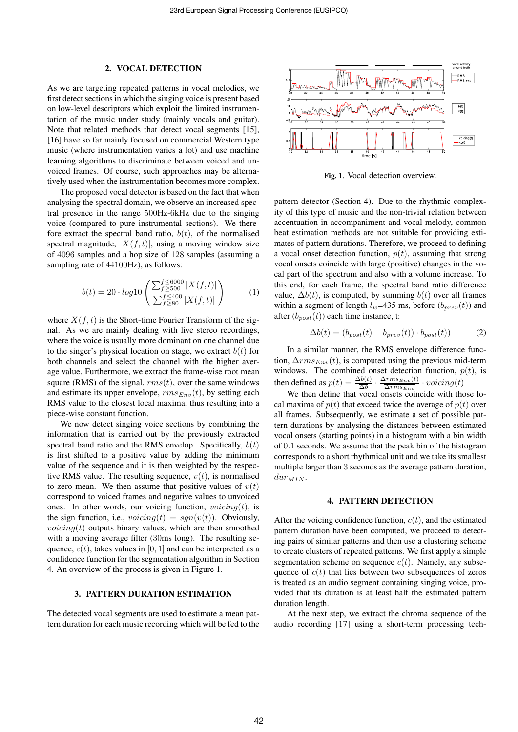#### 2. VOCAL DETECTION

As we are targeting repeated patterns in vocal melodies, we first detect sections in which the singing voice is present based on low-level descriptors which exploit the limited instrumentation of the music under study (mainly vocals and guitar). Note that related methods that detect vocal segments [15], [16] have so far mainly focused on commercial Western type music (where instrumentation varies a lot) and use machine learning algorithms to discriminate between voiced and unvoiced frames. Of course, such approaches may be alternatively used when the instrumentation becomes more complex.

The proposed vocal detector is based on the fact that when analysing the spectral domain, we observe an increased spectral presence in the range 500Hz-6kHz due to the singing voice (compared to pure instrumental sections). We therefore extract the spectral band ratio,  $b(t)$ , of the normalised spectral magnitude,  $|X(f, t)|$ , using a moving window size of 4096 samples and a hop size of 128 samples (assuming a sampling rate of 44100Hz), as follows:

$$
b(t) = 20 \cdot log 10 \left( \frac{\sum_{f \ge 6000}^{f \le 6000} |X(f, t)|}{\sum_{f \ge 80}^{f \le 400} |X(f, t)|} \right) \tag{1}
$$

where  $X(f, t)$  is the Short-time Fourier Transform of the signal. As we are mainly dealing with live stereo recordings, where the voice is usually more dominant on one channel due to the singer's physical location on stage, we extract  $b(t)$  for both channels and select the channel with the higher average value. Furthermore, we extract the frame-wise root mean square (RMS) of the signal,  $rms(t)$ , over the same windows and estimate its upper envelope,  $rms_{Env}(t)$ , by setting each RMS value to the closest local maxima, thus resulting into a piece-wise constant function.

We now detect singing voice sections by combining the information that is carried out by the previously extracted spectral band ratio and the RMS envelop. Specifically,  $b(t)$ is first shifted to a positive value by adding the minimum value of the sequence and it is then weighted by the respective RMS value. The resulting sequence,  $v(t)$ , is normalised to zero mean. We then assume that positive values of  $v(t)$ correspond to voiced frames and negative values to unvoiced ones. In other words, our voicing function,  $voicing(t)$ , is the sign function, i.e.,  $voicing(t) = sgn(v(t))$ . Obviously, *voicing* $(t)$  outputs binary values, which are then smoothed with a moving average filter (30ms long). The resulting sequence,  $c(t)$ , takes values in [0, 1] and can be interpreted as a confidence function for the segmentation algorithm in Section 4. An overview of the process is given in Figure 1.

# 3. PATTERN DURATION ESTIMATION

The detected vocal segments are used to estimate a mean pattern duration for each music recording which will be fed to the



Fig. 1. Vocal detection overview.

pattern detector (Section 4). Due to the rhythmic complexity of this type of music and the non-trivial relation between accentuation in accompaniment and vocal melody, common beat estimation methods are not suitable for providing estimates of pattern durations. Therefore, we proceed to defining a vocal onset detection function,  $p(t)$ , assuming that strong vocal onsets coincide with large (positive) changes in the vocal part of the spectrum and also with a volume increase. To this end, for each frame, the spectral band ratio difference value,  $\Delta b(t)$ , is computed, by summing  $b(t)$  over all frames within a segment of length  $l_w$ =435 ms, before  $(b_{prev}(t))$  and after  $(b_{post}(t))$  each time instance, t:

$$
\Delta b(t) = (b_{post}(t) - b_{prev}(t)) \cdot b_{post}(t))
$$
 (2)

In a similar manner, the RMS envelope difference function,  $\Delta rms_{Env}(t)$ , is computed using the previous mid-term windows. The combined onset detection function,  $p(t)$ , is then defined as  $p(t) = \frac{\Delta b(t)}{\Delta b} \cdot \frac{\Delta rms_{Env}(t)}{\Delta rms_{Env}}$  $\frac{\Delta rms_{Env}(t)}{\Delta rms_{Env}} \cdot voiding(t)$ 

We then define that vocal onsets coincide with those local maxima of  $p(t)$  that exceed twice the average of  $p(t)$  over all frames. Subsequently, we estimate a set of possible pattern durations by analysing the distances between estimated vocal onsets (starting points) in a histogram with a bin width of 0.1 seconds. We assume that the peak bin of the histogram corresponds to a short rhythmical unit and we take its smallest multiple larger than 3 seconds as the average pattern duration,  $dur_{MIN}$ .

# 4. PATTERN DETECTION

After the voicing confidence function,  $c(t)$ , and the estimated pattern duration have been computed, we proceed to detecting pairs of similar patterns and then use a clustering scheme to create clusters of repeated patterns. We first apply a simple segmentation scheme on sequence  $c(t)$ . Namely, any subsequence of  $c(t)$  that lies between two subsequences of zeros is treated as an audio segment containing singing voice, provided that its duration is at least half the estimated pattern duration length.

At the next step, we extract the chroma sequence of the audio recording [17] using a short-term processing tech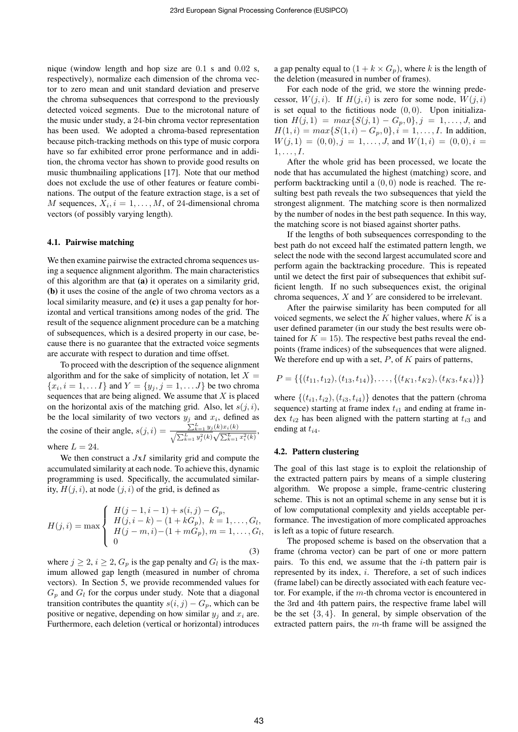nique (window length and hop size are 0.1 s and 0.02 s, respectively), normalize each dimension of the chroma vector to zero mean and unit standard deviation and preserve the chroma subsequences that correspond to the previously detected voiced segments. Due to the microtonal nature of the music under study, a 24-bin chroma vector representation has been used. We adopted a chroma-based representation because pitch-tracking methods on this type of music corpora have so far exhibited error prone performance and in addition, the chroma vector has shown to provide good results on music thumbnailing applications [17]. Note that our method does not exclude the use of other features or feature combinations. The output of the feature extraction stage, is a set of M sequences,  $X_i$ ,  $i = 1, \ldots, M$ , of 24-dimensional chroma vectors (of possibly varying length).

### 4.1. Pairwise matching

We then examine pairwise the extracted chroma sequences using a sequence alignment algorithm. The main characteristics of this algorithm are that (a) it operates on a similarity grid, (b) it uses the cosine of the angle of two chroma vectors as a local similarity measure, and (c) it uses a gap penalty for horizontal and vertical transitions among nodes of the grid. The result of the sequence alignment procedure can be a matching of subsequences, which is a desired property in our case, because there is no guarantee that the extracted voice segments are accurate with respect to duration and time offset.

To proceed with the description of the sequence alignment algorithm and for the sake of simplicity of notation, let  $X =$  ${x_i, i = 1, \ldots I}$  and  $Y = {y_j, j = 1, \ldots J}$  be two chroma sequences that are being aligned. We assume that  $X$  is placed on the horizontal axis of the matching grid. Also, let  $s(j, i)$ , be the local similarity of two vectors  $y_j$  and  $x_i$ , defined as the cosine of their angle,  $s(j, i) = \frac{\sum_{k=1}^{L} y_j(k) x_i(k)}{\sqrt{m!}}$  $\frac{\sum_{k=1}^{L} y_j(k)x_i(k)}{\sqrt{\sum_{k=1}^{L} y_j^2(k)}\sqrt{\sum_{k=1}^{L} x_i^2(k)}},$ where  $L = 24$ .

We then construct a  $JxI$  similarity grid and compute the accumulated similarity at each node. To achieve this, dynamic programming is used. Specifically, the accumulated similarity,  $H(j, i)$ , at node  $(j, i)$  of the grid, is defined as

$$
H(j,i) = \max \begin{cases} H(j-1,i-1) + s(i,j) - G_p, \\ H(j,i-k) - (1 + kG_p), \ k = 1, \dots, G_l, \\ H(j-m,i) - (1 + mG_p), m = 1, \dots, G_l, \\ 0 & (3) \end{cases}
$$

where  $j \geq 2$ ,  $i \geq 2$ ,  $G_p$  is the gap penalty and  $G_l$  is the maximum allowed gap length (measured in number of chroma vectors). In Section 5, we provide recommended values for  $G_p$  and  $G_l$  for the corpus under study. Note that a diagonal transition contributes the quantity  $s(i, j) - G_p$ , which can be positive or negative, depending on how similar  $y_i$  and  $x_i$  are. Furthermore, each deletion (vertical or horizontal) introduces

a gap penalty equal to  $(1 + k \times G_p)$ , where k is the length of the deletion (measured in number of frames).

For each node of the grid, we store the winning predecessor,  $W(j, i)$ . If  $H(j, i)$  is zero for some node,  $W(j, i)$ is set equal to the fictitious node  $(0, 0)$ . Upon initialization  $H(j, 1) = max\{S(j, 1) - G_p, 0\}, j = 1, ..., J$ , and  $H(1, i) = max\{S(1, i) - G_n, 0\}, i = 1, \ldots, I$ . In addition,  $W(j, 1) = (0, 0), j = 1, \ldots, J$ , and  $W(1, i) = (0, 0), i =$  $1, \ldots, I$ .

After the whole grid has been processed, we locate the node that has accumulated the highest (matching) score, and perform backtracking until a  $(0, 0)$  node is reached. The resulting best path reveals the two subsequences that yield the strongest alignment. The matching score is then normalized by the number of nodes in the best path sequence. In this way, the matching score is not biased against shorter paths.

If the lengths of both subsequences corresponding to the best path do not exceed half the estimated pattern length, we select the node with the second largest accumulated score and perform again the backtracking procedure. This is repeated until we detect the first pair of subsequences that exhibit sufficient length. If no such subsequences exist, the original chroma sequences, X and Y are considered to be irrelevant.

After the pairwise similarity has been computed for all voiced segments, we select the  $K$  higher values, where  $K$  is a user defined parameter (in our study the best results were obtained for  $K = 15$ ). The respective best paths reveal the endpoints (frame indices) of the subsequences that were aligned. We therefore end up with a set,  $P$ , of  $K$  pairs of patterns,

$$
P = \{ \{ (t_{11}, t_{12}), (t_{13}, t_{14}) \}, \ldots, \{ (t_{K1}, t_{K2}), (t_{K3}, t_{K4}) \} \}
$$

where  $\{(t_{i1}, t_{i2}), (t_{i3}, t_{i4})\}$  denotes that the pattern (chroma sequence) starting at frame index  $t_{i1}$  and ending at frame index  $t_{i2}$  has been aligned with the pattern starting at  $t_{i3}$  and ending at  $t_{i4}$ .

#### 4.2. Pattern clustering

The goal of this last stage is to exploit the relationship of the extracted pattern pairs by means of a simple clustering algorithm. We propose a simple, frame-centric clustering scheme. This is not an optimal scheme in any sense but it is of low computational complexity and yields acceptable performance. The investigation of more complicated approaches is left as a topic of future research.

The proposed scheme is based on the observation that a frame (chroma vector) can be part of one or more pattern pairs. To this end, we assume that the  $i$ -th pattern pair is represented by its index,  $i$ . Therefore, a set of such indices (frame label) can be directly associated with each feature vector. For example, if the  $m$ -th chroma vector is encountered in the 3rd and 4th pattern pairs, the respective frame label will be the set  $\{3, 4\}$ . In general, by simple observation of the extracted pattern pairs, the  $m$ -th frame will be assigned the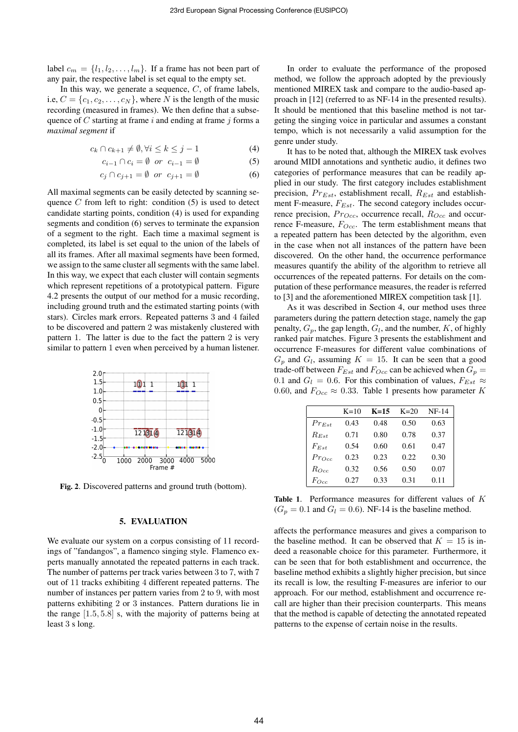label  $c_m = \{l_1, l_2, \ldots, l_m\}$ . If a frame has not been part of any pair, the respective label is set equal to the empty set.

In this way, we generate a sequence,  $C$ , of frame labels, i.e,  $C = \{c_1, c_2, \ldots, c_N\}$ , where N is the length of the music recording (measured in frames). We then define that a subsequence of  $C$  starting at frame  $i$  and ending at frame  $j$  forms a *maximal segment* if

$$
c_k \cap c_{k+1} \neq \emptyset, \forall i \le k \le j-1 \tag{4}
$$

$$
c_{i-1} \cap c_i = \emptyset \quad \text{or} \quad c_{i-1} = \emptyset \tag{5}
$$

$$
c_j \cap c_{j+1} = \emptyset \quad \text{or} \quad c_{j+1} = \emptyset \tag{6}
$$

All maximal segments can be easily detected by scanning sequence  $C$  from left to right: condition  $(5)$  is used to detect candidate starting points, condition (4) is used for expanding segments and condition (6) serves to terminate the expansion of a segment to the right. Each time a maximal segment is completed, its label is set equal to the union of the labels of all its frames. After all maximal segments have been formed, we assign to the same cluster all segments with the same label. In this way, we expect that each cluster will contain segments which represent repetitions of a prototypical pattern. Figure 4.2 presents the output of our method for a music recording, including ground truth and the estimated starting points (with stars). Circles mark errors. Repeated patterns 3 and 4 failed to be discovered and pattern 2 was mistakenly clustered with pattern 1. The latter is due to the fact the pattern 2 is very similar to pattern 1 even when perceived by a human listener.



Fig. 2. Discovered patterns and ground truth (bottom).

#### 5. EVALUATION

We evaluate our system on a corpus consisting of 11 recordings of "fandangos", a flamenco singing style. Flamenco experts manually annotated the repeated patterns in each track. The number of patterns per track varies between 3 to 7, with 7 out of 11 tracks exhibiting 4 different repeated patterns. The number of instances per pattern varies from 2 to 9, with most patterns exhibiting 2 or 3 instances. Pattern durations lie in the range [1.5, 5.8] s, with the majority of patterns being at least 3 s long.

In order to evaluate the performance of the proposed method, we follow the approach adopted by the previously mentioned MIREX task and compare to the audio-based approach in [12] (referred to as NF-14 in the presented results). It should be mentioned that this baseline method is not targeting the singing voice in particular and assumes a constant tempo, which is not necessarily a valid assumption for the genre under study.

It has to be noted that, although the MIREX task evolves around MIDI annotations and synthetic audio, it defines two categories of performance measures that can be readily applied in our study. The first category includes establishment precision,  $Pr_{Est}$ , establishment recall,  $R_{Est}$  and establishment F-measure,  $F_{Est}$ . The second category includes occurrence precision,  $Pro_{cc}$ , occurrence recall,  $Ro_{cc}$  and occurrence F-measure,  $F_{Occ}$ . The term establishment means that a repeated pattern has been detected by the algorithm, even in the case when not all instances of the pattern have been discovered. On the other hand, the occurrence performance measures quantify the ability of the algorithm to retrieve all occurrences of the repeated patterns. For details on the computation of these performance measures, the reader is referred to [3] and the aforementioned MIREX competition task [1].

As it was described in Section 4, our method uses three parameters during the pattern detection stage, namely the gap penalty,  $G_p$ , the gap length,  $G_l$ , and the number,  $K$ , of highly ranked pair matches. Figure 3 presents the establishment and occurrence F-measures for different value combinations of  $G_p$  and  $G_l$ , assuming  $K = 15$ . It can be seen that a good trade-off between  $F_{Est}$  and  $F_{Occ}$  can be achieved when  $G_p =$ 0.1 and  $G_l = 0.6$ . For this combination of values,  $F_{Est} \approx$ 0.60, and  $F_{Occ} \approx 0.33$ . Table 1 presents how parameter K

|            | $K=10$ | $K=15$ | $K=20$ | $NF-14$ |
|------------|--------|--------|--------|---------|
| $Pr_{Est}$ | 0.43   | 0.48   | 0.50   | 0.63    |
| $R_{Est}$  | 0.71   | 0.80   | 0.78   | 0.37    |
| $F_{Est}$  | 0.54   | 0.60   | 0.61   | 0.47    |
| Proc       | 0.23   | 0.23   | 0.22.  | 0.30    |
| $R_{Occ}$  | 0.32   | 0.56   | 0.50   | 0.07    |
| $F_{Occ}$  | 0.27   | 0.33   | 0.31   | 0.11    |

Table 1. Performance measures for different values of K  $(G_p = 0.1$  and  $G_l = 0.6)$ . NF-14 is the baseline method.

affects the performance measures and gives a comparison to the baseline method. It can be observed that  $K = 15$  is indeed a reasonable choice for this parameter. Furthermore, it can be seen that for both establishment and occurrence, the baseline method exhibits a slightly higher precision, but since its recall is low, the resulting F-measures are inferior to our approach. For our method, establishment and occurrence recall are higher than their precision counterparts. This means that the method is capable of detecting the annotated repeated patterns to the expense of certain noise in the results.